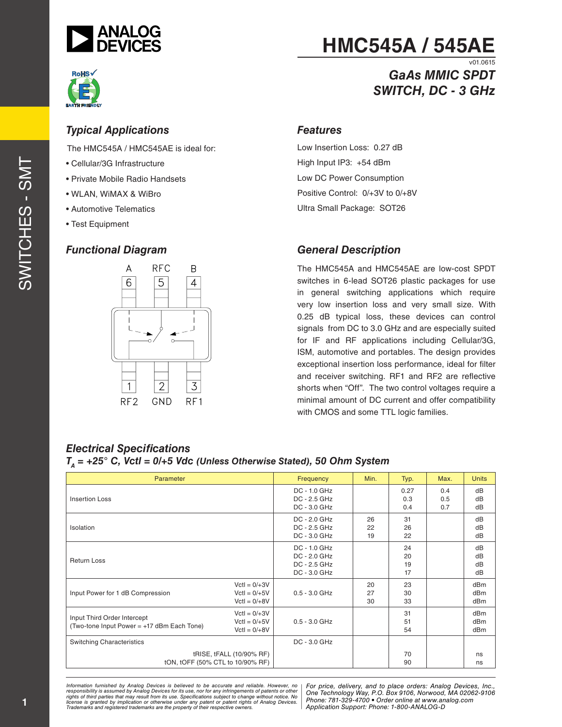



# **HMC545A / 545AE**

#### v01.0615 *GaAs MMIC SPDT SWITCH, DC - 3 GHz*

#### *Typical Applications*

The HMC545A / HMC545AE is ideal for:

- Cellular/3G Infrastructure
- Private Mobile Radio Handsets
- WLAN, WiMAX & WiBro
- Automotive Telematics
- Test Equipment

#### *Functional Diagram*



#### *Features*

Low Insertion Loss: 0.27 dB High Input IP3: +54 dBm Low DC Power Consumption Positive Control: 0/+3V to 0/+8V Ultra Small Package: SOT26

#### *General Description*

The HMC545A and HMC545AE are low-cost SPDT switches in 6-lead SOT26 plastic packages for use in general switching applications which require very low insertion loss and very small size. With 0.25 dB typical loss, these devices can control signals from DC to 3.0 GHz and are especially suited for IF and RF applications including Cellular/3G, ISM, automotive and portables. The design provides exceptional insertion loss performance, ideal for filter and receiver switching. RF1 and RF2 are reflective shorts when "Off". The two control voltages require a minimal amount of DC current and offer compatibility with CMOS and some TTL logic families.

| $\mathbf{r}$                                                              |                                                    |                                                              |                |                      |                   |                      |
|---------------------------------------------------------------------------|----------------------------------------------------|--------------------------------------------------------------|----------------|----------------------|-------------------|----------------------|
| Parameter                                                                 |                                                    | Frequency                                                    | Min.           | Typ.                 | Max.              | <b>Units</b>         |
| Insertion Loss                                                            |                                                    | DC - 1.0 GHz<br>DC - 2.5 GHz<br>DC - 3.0 GHz                 |                | 0.27<br>0.3<br>0.4   | 0.4<br>0.5<br>0.7 | dB<br>dB<br>dB       |
| <b>Isolation</b>                                                          |                                                    | DC - 2.0 GHz<br>DC - 2.5 GHz<br>DC - 3.0 GHz                 | 26<br>22<br>19 | 31<br>26<br>22       |                   | dB<br>dB<br>dB       |
| <b>Return Loss</b>                                                        |                                                    | DC - 1.0 GHz<br>DC - 2.0 GHz<br>DC - 2.5 GHz<br>DC - 3.0 GHz |                | 24<br>20<br>19<br>17 |                   | dB<br>dB<br>dB<br>dB |
| Input Power for 1 dB Compression                                          | $Vert = 0/+3V$<br>$Vert = 0/+5V$<br>$Vert = 0/+8V$ | $0.5 - 3.0$ GHz                                              | 20<br>27<br>30 | 23<br>30<br>33       |                   | dBm<br>dBm<br>dBm    |
| Input Third Order Intercept<br>(Two-tone Input Power = +17 dBm Each Tone) | $Vert = 0/+3V$<br>$Vert = 0/+5V$<br>$Vert = 0/+8V$ | $0.5 - 3.0$ GHz                                              |                | 31<br>51<br>54       |                   | dBm<br>dBm<br>dBm    |
| <b>Switching Characteristics</b>                                          |                                                    | DC - 3.0 GHz                                                 |                |                      |                   |                      |
| tRISE, tFALL (10/90% RF)<br>tON, tOFF (50% CTL to 10/90% RF)              |                                                    |                                                              |                | 70<br>90             |                   | ns<br>ns             |

#### *Electrical Specifications TA = +25° C, Vctl = 0/+5 Vdc (Unless Otherwise Stated), 50 Ohm System*

*Formation iurnished by Analog Devices is believed to be accurate and reliable. However, no Hor price, delivery, and to place orders: Analog Devices, In<br>roonsibility is assumed by Analog Devices for its use, nor for any pressult from its use. Specifications subject to change without notice. No*<br>ation or otherwise under any patent or patent rights of Analog Devices Phone: 781-329-4700 • Order online at ww *e* the property of their respective owners. **Application Support: Phone: 1-8** *Information furnished by Analog Devices is believed to be accurate and reliable. However, no*  responsibility is assumed by Analog Devices for its use, nor for any infringements of patents or other<br>rights of third parties that may result from its use. Specifications subject to change without notice. No<br>license is gr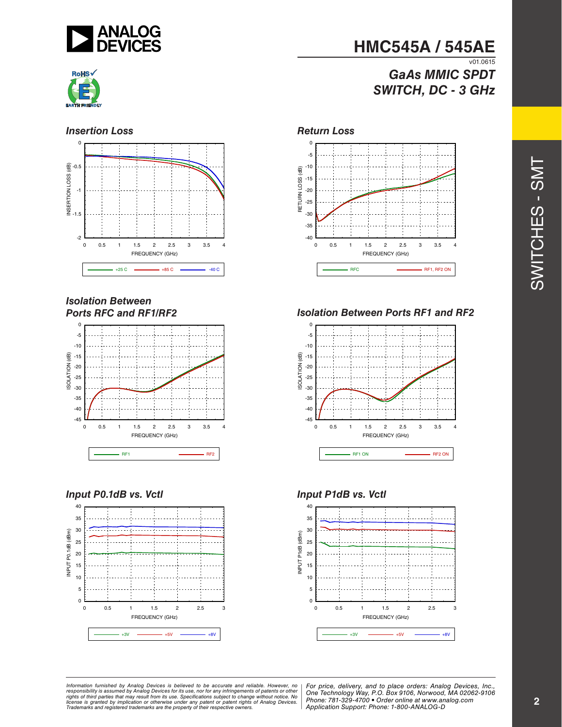



#### **Insertion Loss** *Return Loss*



#### *Isolation Between Ports RFC and RF1/RF2*



#### *Input P0.1dB vs. Vctl*



# **HMC545A / 545AE**

#### $V$ <sup>01.0615</sup> *GaAs MMIC SPDT SWITCH, DC - 3 GHz*



#### *Isolation Between Ports RF1 and RF2*



#### *Input P1dB vs. Vctl*



*Formation iurnished by Analog Devices is believed to be accurate and reliable. However, no Hor price, delivery, and to place orders: Analog Devices, In<br>roonsibility is assumed by Analog Devices for its use, nor for any pressult from its use. Specifications subject to change without notice. No*<br>ation or otherwise under any patent or patent rights of Analog Devices Phone: 781-329-4700 • Order online at ww *e* the property of their respective owners. **Application Support: Phone: 1-8** Information furnished by Analog Devices is believed to be accurate and reliable. However, no<br>responsibility is assumed by Analog Devices for its use, nor for any infringements of patents or other<br>rights of third parties th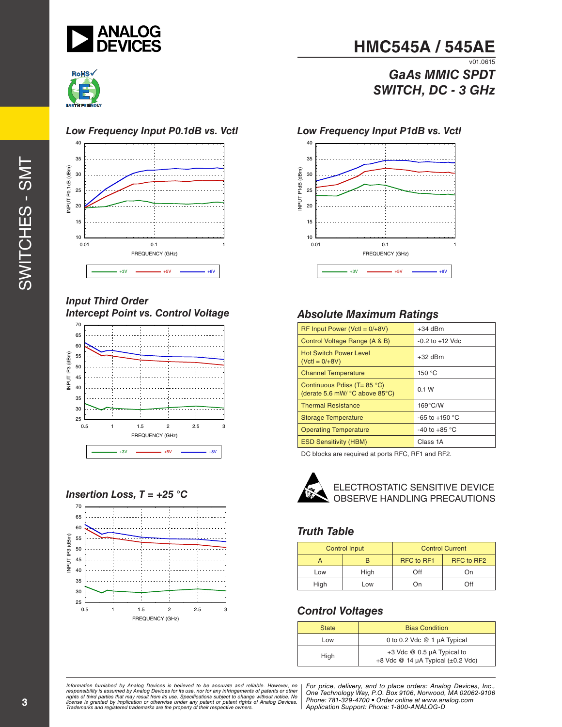



#### *Low Frequency Input P0.1dB vs. Vctl*



#### *Input Third Order Intercept Point vs. Control Voltage*



#### *Insertion Loss, T = +25 °C*



# **HMC545A / 545AE**

 $\overline{v01.0615}$ *GaAs MMIC SPDT SWITCH, DC - 3 GHz*

#### *Low Frequency Input P1dB vs. Vctl*



#### *Absolute Maximum Ratings*

| $RF$ Input Power (VctI = $0/+8V$ )                                | $+34$ dBm              |
|-------------------------------------------------------------------|------------------------|
| Control Voltage Range (A & B)                                     | $-0.2$ to $+12$ Vdc    |
| <b>Hot Switch Power Level</b><br>$(VctI = 0/+8V)$                 | $+32$ dBm              |
| <b>Channel Temperature</b>                                        | 150 °C                 |
| Continuous Pdiss ( $T = 85$ °C)<br>(derate 5.6 mW/ °C above 85°C) | 0.1 W                  |
| <b>Thermal Resistance</b>                                         | $169^{\circ}$ C/W      |
| <b>Storage Temperature</b>                                        | $-65$ to $+150$ °C     |
| <b>Operating Temperature</b>                                      | -40 to +85 $\degree$ C |
| <b>ESD Sensitivity (HBM)</b>                                      | Class 1A               |

DC blocks are required at ports RFC, RF1 and RF2.



ELECTROSTATIC SENSITIVE DEVICE OBSERVE HANDLING PRECAUTIONS

#### *Truth Table*

| <b>Control Input</b> |      | <b>Control Current</b> |            |  |
|----------------------|------|------------------------|------------|--|
|                      | н    | RFC to RF1             | RFC to RF2 |  |
| Low                  | High | Off                    | On         |  |
| High                 | Low  | On)                    | Off        |  |

#### *Control Voltages*

| <b>State</b> | <b>Bias Condition</b>                                             |  |
|--------------|-------------------------------------------------------------------|--|
| Low          | 0 to 0.2 Vdc @ 1 µA Typical                                       |  |
| High         | +3 Vdc @ 0.5 µA Typical to<br>+8 Vdc $@$ 14 µA Typical (±0.2 Vdc) |  |

ormation furnished by Analog Devices is believed to be accurate and reliable. However, no | For price, delivery, and to place orders: Analog Devices, Inc.,<br>popsibility is assumed by Analog Devices for its use, not for any *pressult from its use. Specifications subject to change without notice. No*<br>ation or otherwise under any patent or patent rights of Analog Devices Phone: 781-329-4700 • Order online at ww *e* the property of their respective owners. **Application Support: Phone: 1-8** *Information furnished by Analog Devices is believed to be accurate and reliable. However, no*  responsibility is assumed by Analog Devices for its use, nor for any infringements of patents or other<br>rights of third parties that may result from its use. Specifications subject to change without notice. No<br>license is gr

*Phone: 781-329-4700 • Order online at www.analog.com Application Support: Phone: 1-800-ANALOG-D*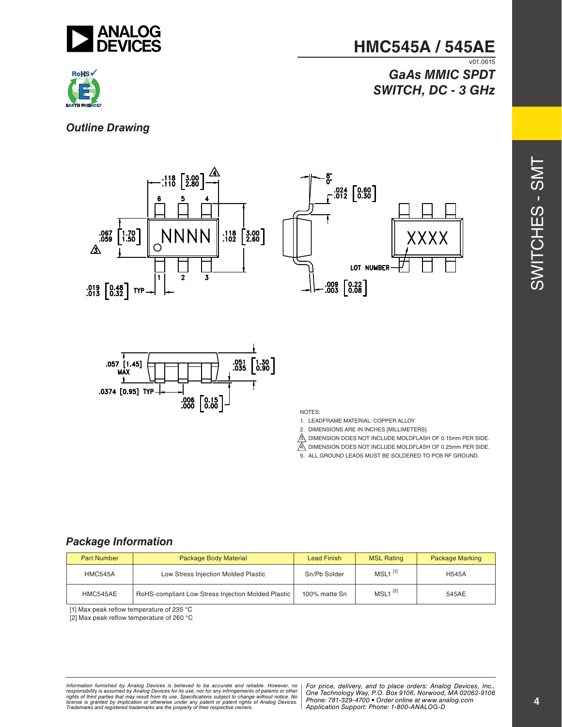

#### **HMC545A / 545AE**  $V$ <sup>01.0615</sup>

# *GaAs MMIC SPDT SWITCH, DC - 3 GHz*



*Outline Drawing*





NOTES:

- 1. LEADFRAME MATERIAL: COPPER ALLOY
- 2. DIMENSIONS ARE IN INCHES [MILLIMETERS].
- $\mathbb{A}$  dimension does not include moldflash of 0.15mm PER SIDE.
- $\overline{A}$  dimension does not include moldflash of 0.25mm PER SIDE.
- 5. ALL GROUND LEADS MUST BE SOLDERED TO PCB RF GROUND.

#### *Package Information*

| <b>Part Number</b> | Package Body Material                              | <b>Lead Finish</b> | <b>MSL Rating</b>     | <b>Package Marking</b> |
|--------------------|----------------------------------------------------|--------------------|-----------------------|------------------------|
| <b>HMC545A</b>     | Low Stress Injection Molded Plastic                | Sn/Pb Solder       | $MSL1$ <sup>[1]</sup> | <b>H545A</b>           |
| HMC545AE           | RoHS-compliant Low Stress Injection Molded Plastic | 100% matte Sn      | $MSL1$ <sup>[2]</sup> | 545AE                  |

[1] Max peak reflow temperature of 235 °C

[2] Max peak reflow temperature of 260 °C

*Formation iurnished by Analog Devices is believed to be accurate and reliable. However, no Hor price, delivery, and to place orders: Analog Devices, In<br>roonsibility is assumed by Analog Devices for its use, nor for any pressult from its use. Specifications subject to change without notice. No*<br>ation or otherwise under any patent or patent rights of Analog Devices Phone: 781-329-4700 • Order online at ww *e* the property of their respective owners. **Application Support: Phone: 1-8** Information furnished by Analog Devices is believed to be accurate and reliable. However, no<br>responsibility is assumed by Analog Devices for its use, nor for any infringements of patents or other<br>rights of third parties th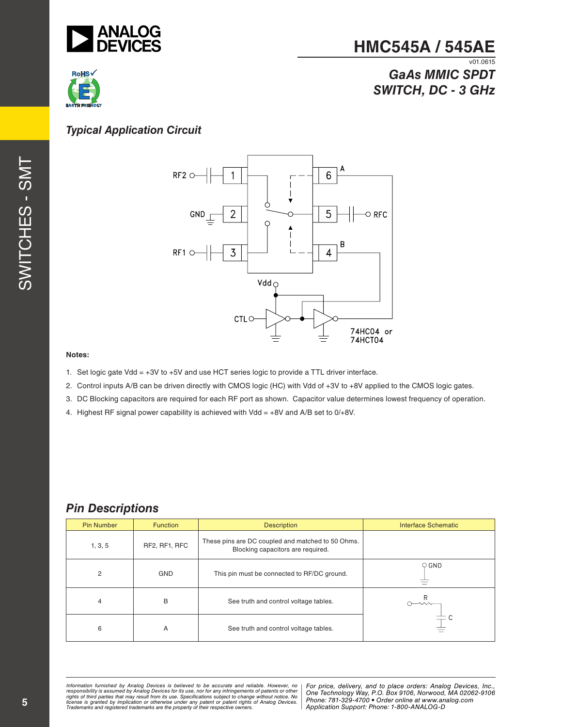

#### **HMC545A / 545AE**  $V01.0615$

# **RoHS**

## *GaAs MMIC SPDT SWITCH, DC - 3 GHz*

#### *Typical Application Circuit*





#### **Notes:**

- 1. Set logic gate Vdd = +3V to +5V and use HCT series logic to provide a TTL driver interface.
- 2. Control inputs A/B can be driven directly with CMOS logic (HC) with Vdd of +3V to +8V applied to the CMOS logic gates.
- 3. DC Blocking capacitors are required for each RF port as shown. Capacitor value determines lowest frequency of operation.
- 4. Highest RF signal power capability is achieved with Vdd = +8V and A/B set to 0/+8V.

#### *Pin Descriptions*

| <b>Pin Number</b> | <b>Function</b> | <b>Description</b>                                                                     | <b>Interface Schematic</b> |
|-------------------|-----------------|----------------------------------------------------------------------------------------|----------------------------|
| 1, 3, 5           | RF2, RF1, RFC   | These pins are DC coupled and matched to 50 Ohms.<br>Blocking capacitors are required. |                            |
| 2                 | <b>GND</b>      | This pin must be connected to RF/DC ground.                                            | $\circ$ GND                |
| 4                 | B               | See truth and control voltage tables.                                                  | $\rightsquigarrow$         |
| 6                 | A               | See truth and control voltage tables.                                                  |                            |

ormation furnished by Analog Devices is believed to be accurate and reliable. However, no | For price, delivery, and to place orders: Analog Devices, Inc.,<br>popsibility is assumed by Analog Devices for its use, not for any *pressult from its use. Specifications subject to change without notice. No*<br>ation or otherwise under any patent or patent rights of Analog Devices Phone: 781-329-4700 • Order online at ww *e* the property of their respective owners. **Application Support: Phone: 1-8** *Information furnished by Analog Devices is believed to be accurate and reliable. However, no*  responsibility is assumed by Analog Devices for its use, nor for any infringements of patents or other<br>rights of third parties that may result from its use. Specifications subject to change without notice. No<br>license is gr

*Phone: 781-329-4700 • Order online at www.analog.com Application Support: Phone: 1-800-ANALOG-D*